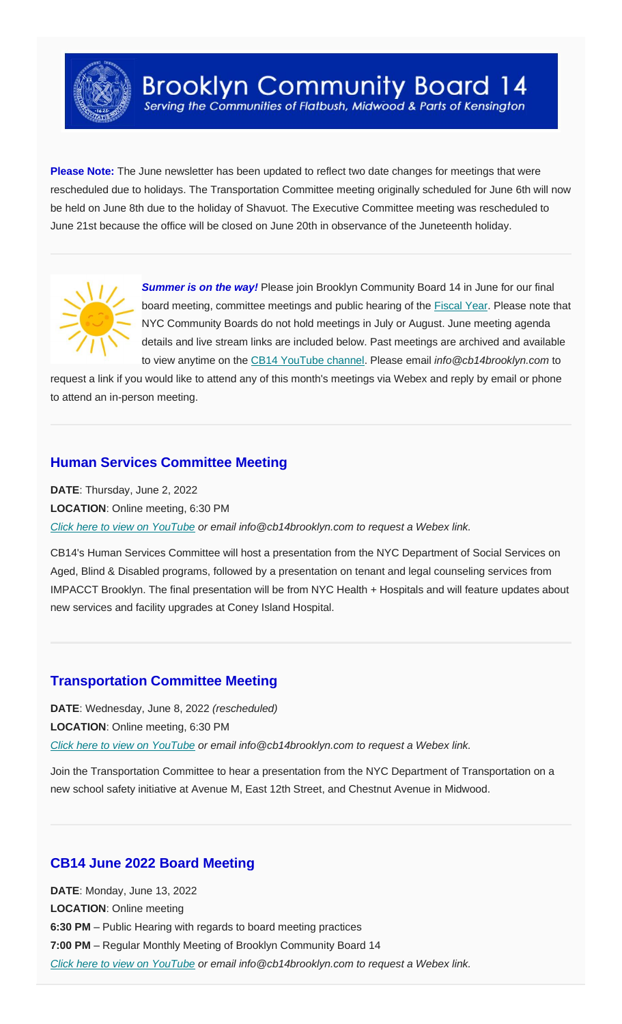

**Please Note:** The June newsletter has been updated to reflect two date changes for meetings that were rescheduled due to holidays. The Transportation Committee meeting originally scheduled for June 6th will now be held on June 8th due to the holiday of Shavuot. The Executive Committee meeting was rescheduled to June 21st because the office will be closed on June 20th in observance of the Juneteenth holiday.



**Summer is on the way!** Please join Brooklyn Community Board 14 in June for our final board meeting, committee meetings and public hearing of the [Fiscal Year.](https://www1.nyc.gov/site/omb/publications/publications.page) Please note that NYC Community Boards do not hold meetings in July or August. June meeting agenda details and live stream links are included below. Past meetings are archived and available to view anytime on the [CB14 YouTube channel.](https://www.youtube.com/channel/UC_BAkpXTYFoKdHVRvswVgtg) Please email *info@cb14brooklyn.com* to

request a link if you would like to attend any of this month's meetings via Webex and reply by email or phone to attend an in-person meeting.

# **Human Services Committee Meeting**

**DATE**: Thursday, June 2, 2022 **LOCATION**: Online meeting, 6:30 PM *[Click here to view on YouTube](https://youtu.be/SCgUWAViplc) or email info@cb14brooklyn.com to request a Webex link.*

CB14's Human Services Committee will host a presentation from the NYC Department of Social Services on Aged, Blind & Disabled programs, followed by a presentation on tenant and legal counseling services from IMPACCT Brooklyn. The final presentation will be from NYC Health + Hospitals and will feature updates about new services and facility upgrades at Coney Island Hospital.

## **Transportation Committee Meeting**

**DATE**: Wednesday, June 8, 2022 *(rescheduled)* **LOCATION**: Online meeting, 6:30 PM *[Click here to view on YouTube](https://youtu.be/hM5TgN2YX3M) or email info@cb14brooklyn.com to request a Webex link.*

Join the Transportation Committee to hear a presentation from the NYC Department of Transportation on a new school safety initiative at Avenue M, East 12th Street, and Chestnut Avenue in Midwood.

## **CB14 June 2022 Board Meeting**

**DATE**: Monday, June 13, 2022 **LOCATION**: Online meeting **6:30 PM** – Public Hearing with regards to board meeting practices **7:00 PM** – Regular Monthly Meeting of Brooklyn Community Board 14 *[Click here to view on YouTube](https://youtu.be/GXkwHX_zyBs) or email info@cb14brooklyn.com to request a Webex link.*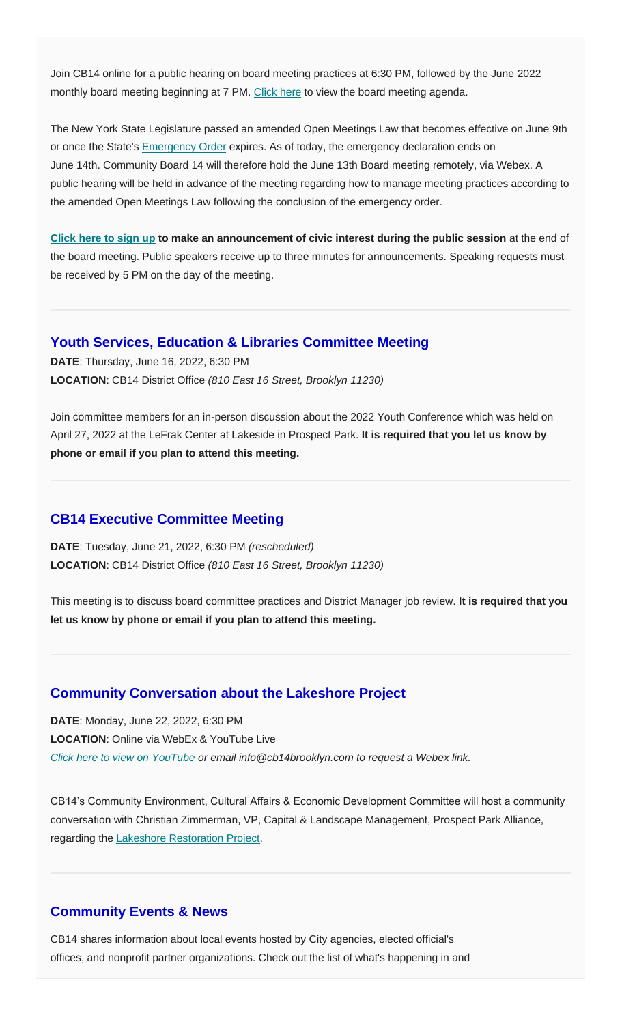Join CB14 online for a public hearing on board meeting practices at 6:30 PM, followed by the June 2022 monthly board meeting beginning at 7 PM. [Click here](https://www.cb14brooklyn.com/june-2022-board-meeting/) to view the board meeting agenda.

The New York State Legislature passed an amended Open Meetings Law that becomes effective on June 9th or once the State's [Emergency Order](https://www.governor.ny.gov/executive-order/no-116-declaring-disaster-emergency-state-new-york) expires. As of today, the emergency declaration ends on June 14th. Community Board 14 will therefore hold the June 13th Board meeting remotely, via Webex. A public hearing will be held in advance of the meeting regarding how to manage meeting practices according to the amended Open Meetings Law following the conclusion of the emergency order.

**[Click here to sign up](https://docs.google.com/forms/d/e/1FAIpQLSc7aDvSNWWndaqTaApvbZXkBlPQzCqSgmjAGjjjUqQAxzj2lA/viewform) to make an announcement of civic interest during the public session** at the end of the board meeting. Public speakers receive up to three minutes for announcements. Speaking requests must be received by 5 PM on the day of the meeting.

### **Youth Services, Education & Libraries Committee Meeting**

**DATE**: Thursday, June 16, 2022, 6:30 PM **LOCATION**: CB14 District Office *(810 East 16 Street, Brooklyn 11230)*

Join committee members for an in-person discussion about the 2022 Youth Conference which was held on April 27, 2022 at the LeFrak Center at Lakeside in Prospect Park. **It is required that you let us know by phone or email if you plan to attend this meeting.**

#### **CB14 Executive Committee Meeting**

**DATE**: Tuesday, June 21, 2022, 6:30 PM *(rescheduled)* **LOCATION**: CB14 District Office *(810 East 16 Street, Brooklyn 11230)*

This meeting is to discuss board committee practices and District Manager job review. **It is required that you let us know by phone or email if you plan to attend this meeting.**

## **Community Conversation about the Lakeshore Project**

**DATE**: Monday, June 22, 2022, 6:30 PM **LOCATION**: Online via WebEx & YouTube Live *[Click here to view on YouTube](https://youtu.be/kKYVgzqATY8) or email info@cb14brooklyn.com to request a Webex link.*

CB14's Community Environment, Cultural Affairs & Economic Development Committee will host a community conversation with Christian Zimmerman, VP, Capital & Landscape Management, Prospect Park Alliance, regarding the Lakeshore [Restoration Project.](https://www.prospectpark.org/get-involved/lakeshore-restoration-letter-of-support/)

### **Community Events & News**

CB14 shares information about local events hosted by City agencies, elected official's offices, and nonprofit partner organizations. Check out the list of what's happening in and